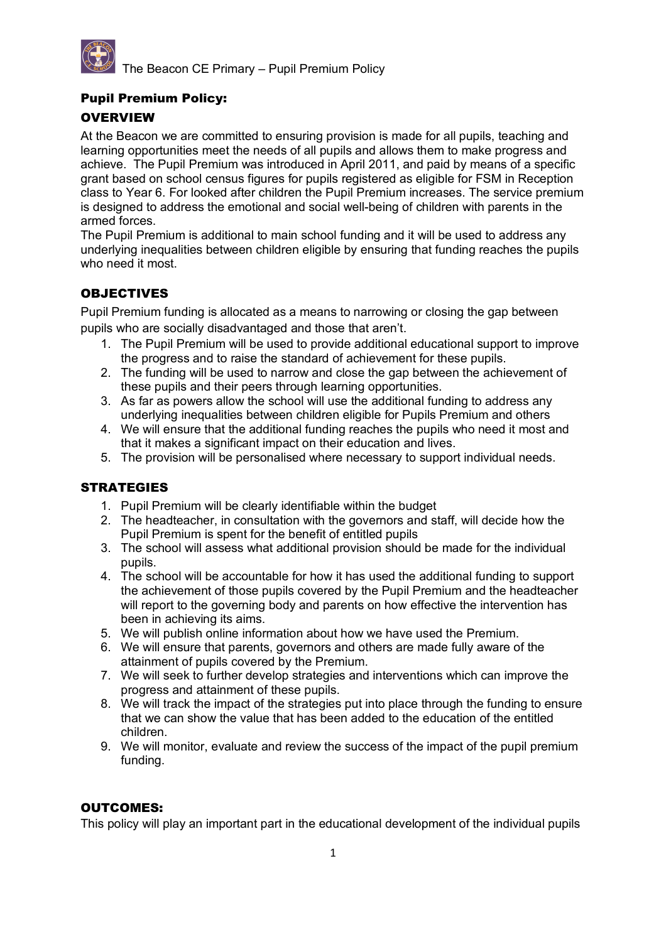

The Beacon CE Primary – Pupil Premium Policy

## Pupil Premium Policy:

## **OVERVIEW**

At the Beacon we are committed to ensuring provision is made for all pupils, teaching and learning opportunities meet the needs of all pupils and allows them to make progress and achieve. The Pupil Premium was introduced in April 2011, and paid by means of a specific grant based on school census figures for pupils registered as eligible for FSM in Reception class to Year 6. For looked after children the Pupil Premium increases. The service premium is designed to address the emotional and social well-being of children with parents in the armed forces.

The Pupil Premium is additional to main school funding and it will be used to address any underlying inequalities between children eligible by ensuring that funding reaches the pupils who need it most.

# **OBJECTIVES**

Pupil Premium funding is allocated as a means to narrowing or closing the gap between pupils who are socially disadvantaged and those that aren't.

- 1. The Pupil Premium will be used to provide additional educational support to improve the progress and to raise the standard of achievement for these pupils.
- 2. The funding will be used to narrow and close the gap between the achievement of these pupils and their peers through learning opportunities.
- 3. As far as powers allow the school will use the additional funding to address any underlying inequalities between children eligible for Pupils Premium and others
- 4. We will ensure that the additional funding reaches the pupils who need it most and that it makes a significant impact on their education and lives.
- 5. The provision will be personalised where necessary to support individual needs.

#### **STRATEGIES**

- 1. Pupil Premium will be clearly identifiable within the budget
- 2. The headteacher, in consultation with the governors and staff, will decide how the Pupil Premium is spent for the benefit of entitled pupils
- 3. The school will assess what additional provision should be made for the individual pupils.
- 4. The school will be accountable for how it has used the additional funding to support the achievement of those pupils covered by the Pupil Premium and the headteacher will report to the governing body and parents on how effective the intervention has been in achieving its aims.
- 5. We will publish online information about how we have used the Premium.
- 6. We will ensure that parents, governors and others are made fully aware of the attainment of pupils covered by the Premium.
- 7. We will seek to further develop strategies and interventions which can improve the progress and attainment of these pupils.
- 8. We will track the impact of the strategies put into place through the funding to ensure that we can show the value that has been added to the education of the entitled children.
- 9. We will monitor, evaluate and review the success of the impact of the pupil premium funding.

#### OUTCOMES:

This policy will play an important part in the educational development of the individual pupils